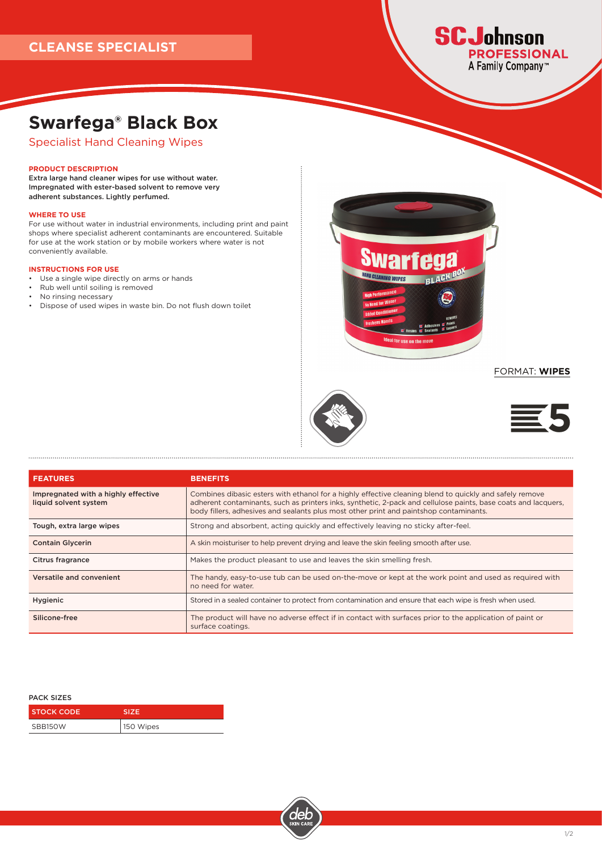

# **Swarfega® Black Box**

Specialist Hand Cleaning Wipes

### **PRODUCT DESCRIPTION**

Extra large hand cleaner wipes for use without water. Impregnated with ester-based solvent to remove very adherent substances. Lightly perfumed.

# **WHERE TO USE**

For use without water in industrial environments, including print and paint shops where specialist adherent contaminants are encountered. Suitable for use at the work station or by mobile workers where water is not conveniently available.

#### **INSTRUCTIONS FOR USE**

- Use a single wipe directly on arms or hands
- Rub well until soiling is removed
- No rinsing necessary

• Dispose of used wipes in waste bin. Do not flush down toilet



FORMAT: **WIPES** 





| <b>FEATURES</b>                                              | <b>BENEFITS</b>                                                                                                                                                                                                                                                                                                     |
|--------------------------------------------------------------|---------------------------------------------------------------------------------------------------------------------------------------------------------------------------------------------------------------------------------------------------------------------------------------------------------------------|
| Impregnated with a highly effective<br>liquid solvent system | Combines dibasic esters with ethanol for a highly effective cleaning blend to quickly and safely remove<br>adherent contaminants, such as printers inks, synthetic, 2-pack and cellulose paints, base coats and lacquers,<br>body fillers, adhesives and sealants plus most other print and paintshop contaminants. |
| Tough, extra large wipes                                     | Strong and absorbent, acting quickly and effectively leaving no sticky after-feel.                                                                                                                                                                                                                                  |
| <b>Contain Glycerin</b>                                      | A skin moisturiser to help prevent drying and leave the skin feeling smooth after use.                                                                                                                                                                                                                              |
| <b>Citrus fragrance</b>                                      | Makes the product pleasant to use and leaves the skin smelling fresh.                                                                                                                                                                                                                                               |
| Versatile and convenient                                     | The handy, easy-to-use tub can be used on-the-move or kept at the work point and used as required with<br>no need for water.                                                                                                                                                                                        |
| Hygienic                                                     | Stored in a sealed container to protect from contamination and ensure that each wipe is fresh when used.                                                                                                                                                                                                            |
| Silicone-free                                                | The product will have no adverse effect if in contact with surfaces prior to the application of paint or<br>surface coatings.                                                                                                                                                                                       |

#### PACK SIZES

| I STOCK CODE | <b>SIZE</b> |
|--------------|-------------|
| SBB150W      | 150 Wipes   |